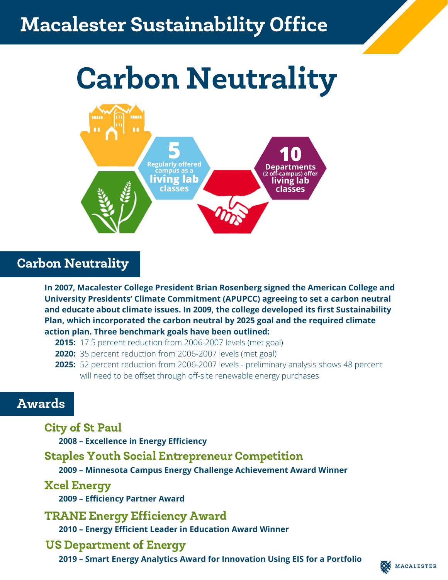## *SUSTAINABILITY* Macalester Sustainability Office

# Carbon Neutrality



### Carbon Neutrality

**In 2007, Macalester College President Brian Rosenberg signed the American College and University Presidents' Climate Commitment (APUPCC) agreeing to set a carbon neutral and educate about climate issues. In 2009, the college developed its first Sustainability Plan, which incorporated the carbon neutral by 2025 goal and the required climate action plan. Three benchmark goals have been outlined:**

- **2015:** 17.5 percent reduction from 2006-2007 levels (met goal)
- **2020:** 35 percent reduction from 2006-2007 levels (met goal)
- **2025:** 52 percent reduction from 2006-2007 levels preliminary analysis shows 48 percent will need to be offset through off-site renewable energy purchases

#### Awards

City of St Paul **2008 – Excellence in Energy Efficiency** TRANE Energy Efficiency Award **2010 – Energy Efficient Leader in Education Award Winner** Staples Youth Social Entrepreneur Competition US Department of Energy **2019 – Smart Energy Analytics Award for Innovation Using EIS for a Portfolio 2009 – Minnesota Campus Energy Challenge Achievement Award Winner 2009 – Efficiency Partner Award** Xcel Energy